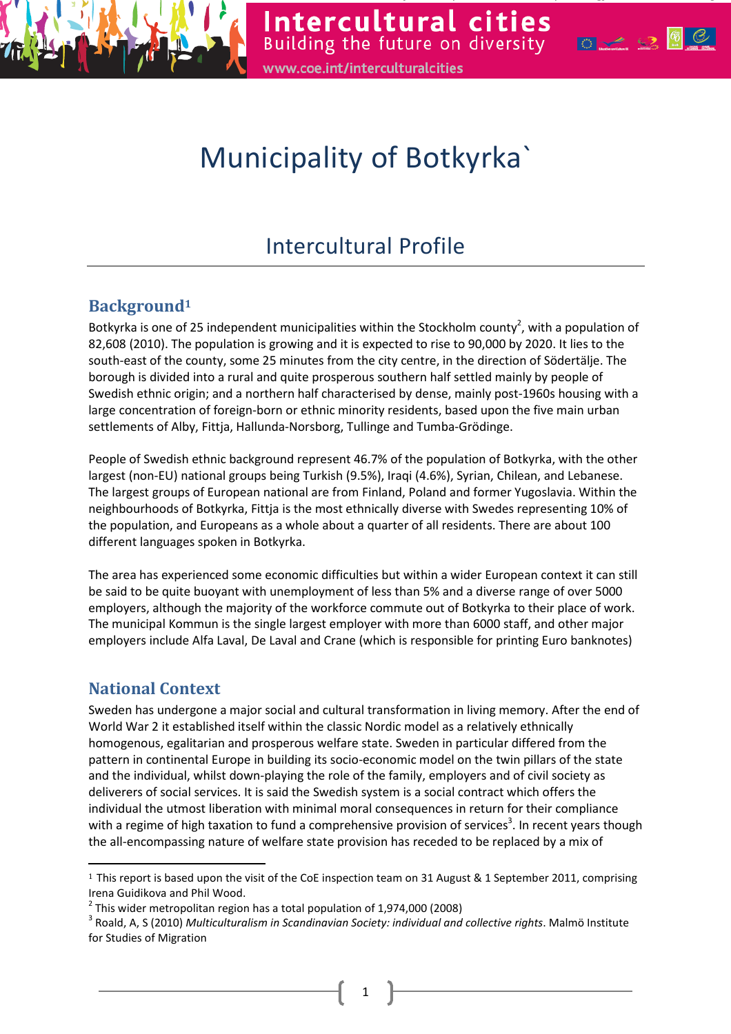

# Municipality of Botkyrka`

www.coe.int/interculturalcities

Intercultural cities

Building the future on diversity  $\cos 2\theta$ 

# Intercultural Profile

# Background<sup>1</sup>

Botkyrka is one of 25 independent municipalities within the Stockholm county<sup>2</sup>, with a population of 82,608 (2010). The population is growing and it is expected to rise to 90,000 by 2020. It lies to the south-east of the county, some 25 minutes from the city centre, in the direction of Södertälje. The borough is divided into a rural and quite prosperous southern half settled mainly by people of Swedish ethnic origin; and a northern half characterised by dense, mainly post-1960s housing with a large concentration of foreign-born or ethnic minority residents, based upon the five main urban settlements of Alby, Fittja, Hallunda-Norsborg, Tullinge and Tumba-Grödinge.

People of Swedish ethnic background represent 46.7% of the population of Botkyrka, with the other largest (non-EU) national groups being Turkish (9.5%), Iraqi (4.6%), Syrian, Chilean, and Lebanese. The largest groups of European national are from Finland, Poland and former Yugoslavia. Within the neighbourhoods of Botkyrka, Fittja is the most ethnically diverse with Swedes representing 10% of the population, and Europeans as a whole about a quarter of all residents. There are about 100 different languages spoken in Botkyrka.

The area has experienced some economic difficulties but within a wider European context it can still be said to be quite buoyant with unemployment of less than 5% and a diverse range of over 5000 employers, although the majority of the workforce commute out of Botkyrka to their place of work. The municipal Kommun is the single largest employer with more than 6000 staff, and other major employers include Alfa Laval, De Laval and Crane (which is responsible for printing Euro banknotes)

# National Context

l

Sweden has undergone a major social and cultural transformation in living memory. After the end of World War 2 it established itself within the classic Nordic model as a relatively ethnically homogenous, egalitarian and prosperous welfare state. Sweden in particular differed from the pattern in continental Europe in building its socio-economic model on the twin pillars of the state and the individual, whilst down-playing the role of the family, employers and of civil society as deliverers of social services. It is said the Swedish system is a social contract which offers the individual the utmost liberation with minimal moral consequences in return for their compliance with a regime of high taxation to fund a comprehensive provision of services<sup>3</sup>. In recent years though the all-encompassing nature of welfare state provision has receded to be replaced by a mix of

<sup>1</sup> This report is based upon the visit of the CoE inspection team on 31 August & 1 September 2011, comprising Irena Guidikova and Phil Wood.

 $^2$  This wider metropolitan region has a total population of 1,974,000 (2008)

 $^3$  Roald, A, S (2010) Multiculturalism in Scandinavian Society: individual and collective rights. Malmö Institute for Studies of Migration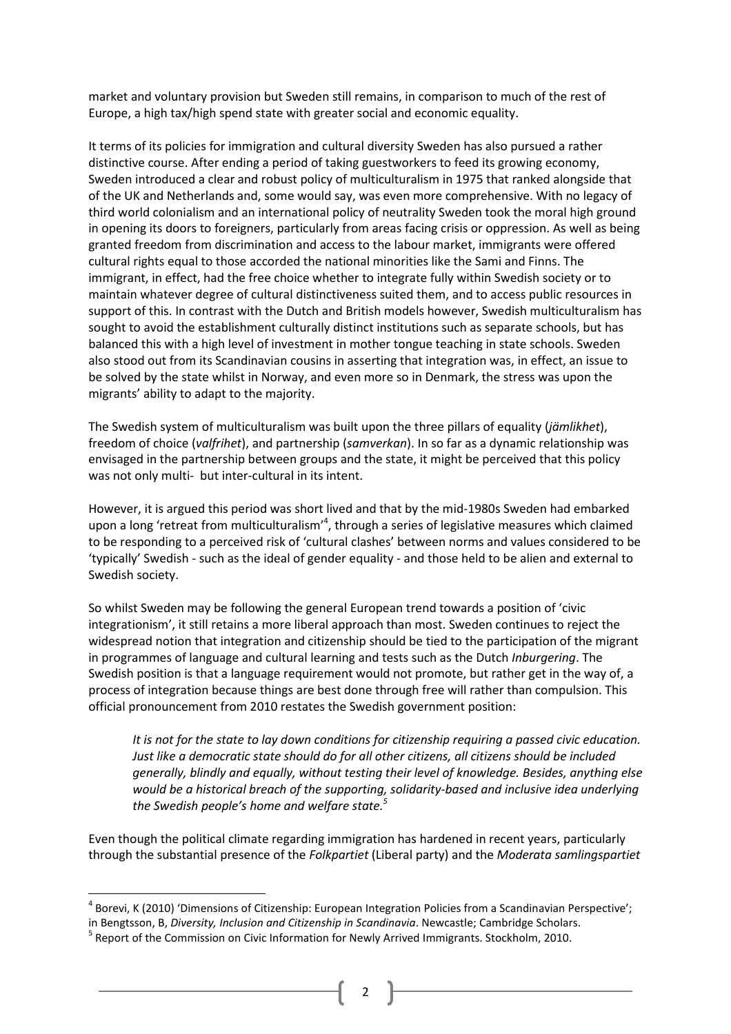market and voluntary provision but Sweden still remains, in comparison to much of the rest of Europe, a high tax/high spend state with greater social and economic equality.

It terms of its policies for immigration and cultural diversity Sweden has also pursued a rather distinctive course. After ending a period of taking guestworkers to feed its growing economy, Sweden introduced a clear and robust policy of multiculturalism in 1975 that ranked alongside that of the UK and Netherlands and, some would say, was even more comprehensive. With no legacy of third world colonialism and an international policy of neutrality Sweden took the moral high ground in opening its doors to foreigners, particularly from areas facing crisis or oppression. As well as being granted freedom from discrimination and access to the labour market, immigrants were offered cultural rights equal to those accorded the national minorities like the Sami and Finns. The immigrant, in effect, had the free choice whether to integrate fully within Swedish society or to maintain whatever degree of cultural distinctiveness suited them, and to access public resources in support of this. In contrast with the Dutch and British models however, Swedish multiculturalism has sought to avoid the establishment culturally distinct institutions such as separate schools, but has balanced this with a high level of investment in mother tongue teaching in state schools. Sweden also stood out from its Scandinavian cousins in asserting that integration was, in effect, an issue to be solved by the state whilst in Norway, and even more so in Denmark, the stress was upon the migrants' ability to adapt to the majority.

The Swedish system of multiculturalism was built upon the three pillars of equality (jämlikhet), freedom of choice (valfrihet), and partnership (samverkan). In so far as a dynamic relationship was envisaged in the partnership between groups and the state, it might be perceived that this policy was not only multi- but inter-cultural in its intent.

However, it is argued this period was short lived and that by the mid-1980s Sweden had embarked upon a long 'retreat from multiculturalism'<sup>4</sup>, through a series of legislative measures which claimed to be responding to a perceived risk of 'cultural clashes' between norms and values considered to be 'typically' Swedish - such as the ideal of gender equality - and those held to be alien and external to Swedish society.

So whilst Sweden may be following the general European trend towards a position of 'civic integrationism', it still retains a more liberal approach than most. Sweden continues to reject the widespread notion that integration and citizenship should be tied to the participation of the migrant in programmes of language and cultural learning and tests such as the Dutch Inburgering. The Swedish position is that a language requirement would not promote, but rather get in the way of, a process of integration because things are best done through free will rather than compulsion. This official pronouncement from 2010 restates the Swedish government position:

It is not for the state to lay down conditions for citizenship requiring a passed civic education. Just like a democratic state should do for all other citizens, all citizens should be included generally, blindly and equally, without testing their level of knowledge. Besides, anything else would be a historical breach of the supporting, solidarity-based and inclusive idea underlying the Swedish people's home and welfare state. $5$ 

Even though the political climate regarding immigration has hardened in recent years, particularly through the substantial presence of the Folkpartiet (Liberal party) and the Moderata samlingspartiet

 $\overline{a}$ 

<sup>&</sup>lt;sup>4</sup> Borevi, K (2010) 'Dimensions of Citizenship: European Integration Policies from a Scandinavian Perspective'; in Bengtsson, B, Diversity, Inclusion and Citizenship in Scandinavia. Newcastle; Cambridge Scholars.

<sup>&</sup>lt;sup>5</sup> Report of the Commission on Civic Information for Newly Arrived Immigrants. Stockholm, 2010.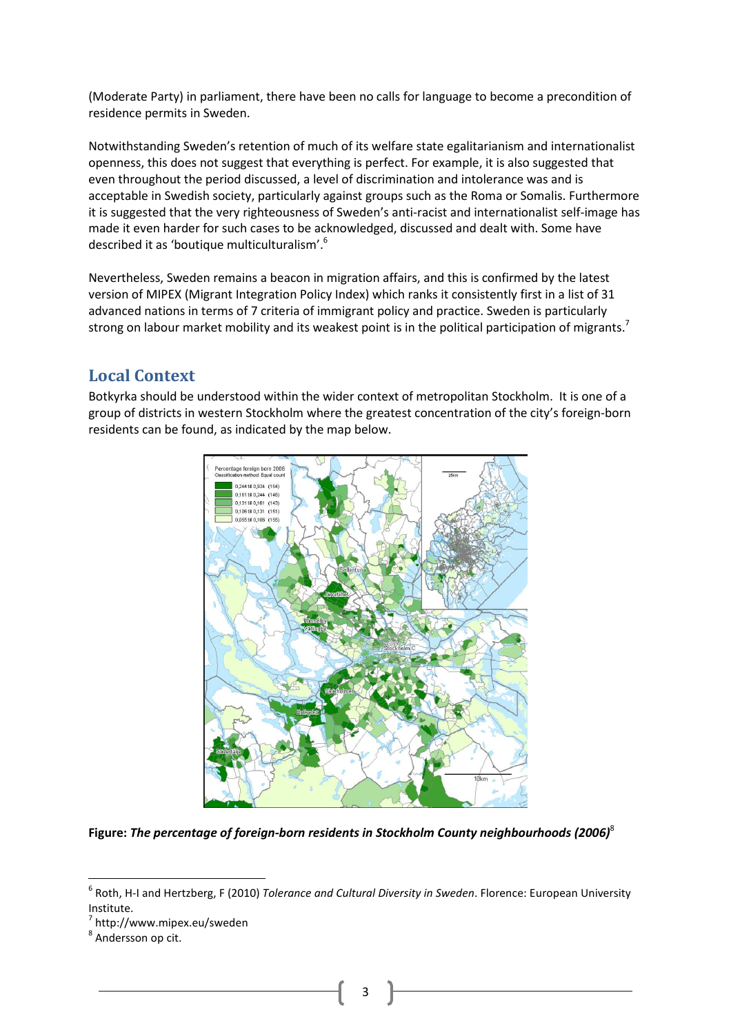(Moderate Party) in parliament, there have been no calls for language to become a precondition of residence permits in Sweden.

Notwithstanding Sweden's retention of much of its welfare state egalitarianism and internationalist openness, this does not suggest that everything is perfect. For example, it is also suggested that even throughout the period discussed, a level of discrimination and intolerance was and is acceptable in Swedish society, particularly against groups such as the Roma or Somalis. Furthermore it is suggested that the very righteousness of Sweden's anti-racist and internationalist self-image has made it even harder for such cases to be acknowledged, discussed and dealt with. Some have described it as 'boutique multiculturalism'.<sup>6</sup>

Nevertheless, Sweden remains a beacon in migration affairs, and this is confirmed by the latest version of MIPEX (Migrant Integration Policy Index) which ranks it consistently first in a list of 31 advanced nations in terms of 7 criteria of immigrant policy and practice. Sweden is particularly strong on labour market mobility and its weakest point is in the political participation of migrants.<sup>7</sup>

# Local Context

Botkyrka should be understood within the wider context of metropolitan Stockholm. It is one of a group of districts in western Stockholm where the greatest concentration of the city's foreign-born residents can be found, as indicated by the map below.



Figure: The percentage of foreign-born residents in Stockholm County neighbourhoods (2006)<sup>8</sup>

 $\overline{\phantom{0}}$ 

<sup>&</sup>lt;sup>6</sup> Roth, H-I and Hertzberg, F (2010) *Tolerance and Cultural Diversity in Sweden*. Florence: European University Institute.

<sup>&</sup>lt;sup>7</sup> http://www.mipex.eu/sweden

<sup>&</sup>lt;sup>8</sup> Andersson op cit.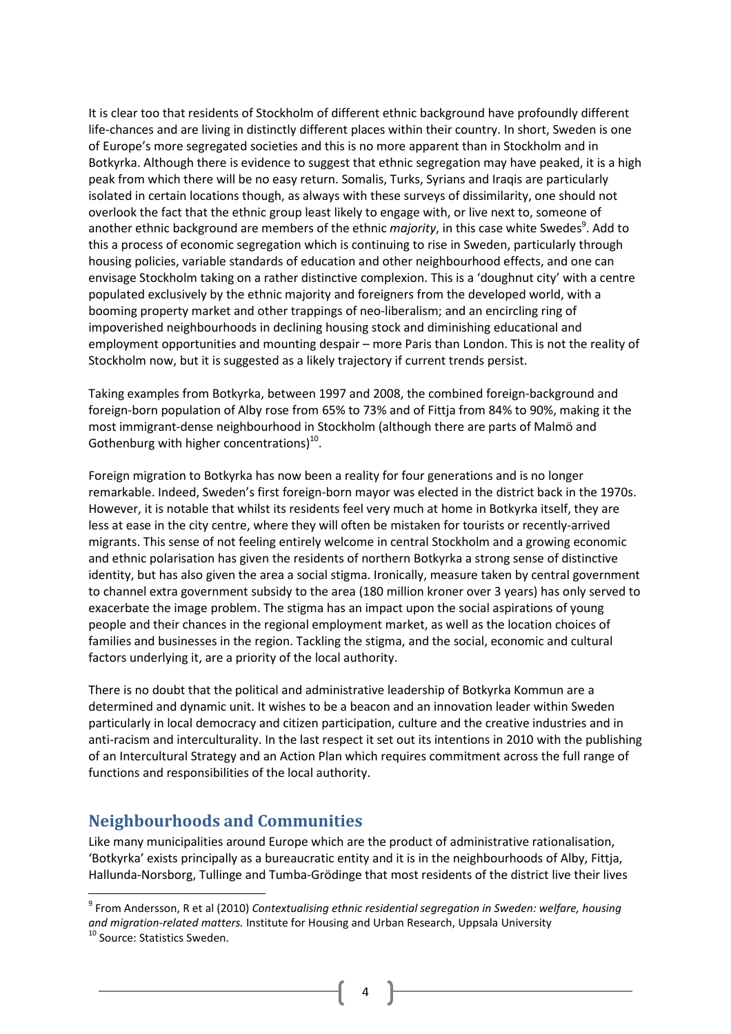It is clear too that residents of Stockholm of different ethnic background have profoundly different life-chances and are living in distinctly different places within their country. In short, Sweden is one of Europe's more segregated societies and this is no more apparent than in Stockholm and in Botkyrka. Although there is evidence to suggest that ethnic segregation may have peaked, it is a high peak from which there will be no easy return. Somalis, Turks, Syrians and Iraqis are particularly isolated in certain locations though, as always with these surveys of dissimilarity, one should not overlook the fact that the ethnic group least likely to engage with, or live next to, someone of another ethnic background are members of the ethnic *majority*, in this case white Swedes<sup>9</sup>. Add to this a process of economic segregation which is continuing to rise in Sweden, particularly through housing policies, variable standards of education and other neighbourhood effects, and one can envisage Stockholm taking on a rather distinctive complexion. This is a 'doughnut city' with a centre populated exclusively by the ethnic majority and foreigners from the developed world, with a booming property market and other trappings of neo-liberalism; and an encircling ring of impoverished neighbourhoods in declining housing stock and diminishing educational and employment opportunities and mounting despair – more Paris than London. This is not the reality of Stockholm now, but it is suggested as a likely trajectory if current trends persist.

Taking examples from Botkyrka, between 1997 and 2008, the combined foreign-background and foreign-born population of Alby rose from 65% to 73% and of Fittja from 84% to 90%, making it the most immigrant-dense neighbourhood in Stockholm (although there are parts of Malmö and Gothenburg with higher concentrations) $^{10}$ .

Foreign migration to Botkyrka has now been a reality for four generations and is no longer remarkable. Indeed, Sweden's first foreign-born mayor was elected in the district back in the 1970s. However, it is notable that whilst its residents feel very much at home in Botkyrka itself, they are less at ease in the city centre, where they will often be mistaken for tourists or recently-arrived migrants. This sense of not feeling entirely welcome in central Stockholm and a growing economic and ethnic polarisation has given the residents of northern Botkyrka a strong sense of distinctive identity, but has also given the area a social stigma. Ironically, measure taken by central government to channel extra government subsidy to the area (180 million kroner over 3 years) has only served to exacerbate the image problem. The stigma has an impact upon the social aspirations of young people and their chances in the regional employment market, as well as the location choices of families and businesses in the region. Tackling the stigma, and the social, economic and cultural factors underlying it, are a priority of the local authority.

There is no doubt that the political and administrative leadership of Botkyrka Kommun are a determined and dynamic unit. It wishes to be a beacon and an innovation leader within Sweden particularly in local democracy and citizen participation, culture and the creative industries and in anti-racism and interculturality. In the last respect it set out its intentions in 2010 with the publishing of an Intercultural Strategy and an Action Plan which requires commitment across the full range of functions and responsibilities of the local authority.

## Neighbourhoods and Communities

Like many municipalities around Europe which are the product of administrative rationalisation, 'Botkyrka' exists principally as a bureaucratic entity and it is in the neighbourhoods of Alby, Fittja, Hallunda-Norsborg, Tullinge and Tumba-Grödinge that most residents of the district live their lives

 $\overline{a}$ 

 $^9$  From Andersson, R et al (2010) Contextualising ethnic residential segregation in Sweden: welfare, housing and migration-related matters. Institute for Housing and Urban Research, Uppsala University

<sup>&</sup>lt;sup>10</sup> Source: Statistics Sweden.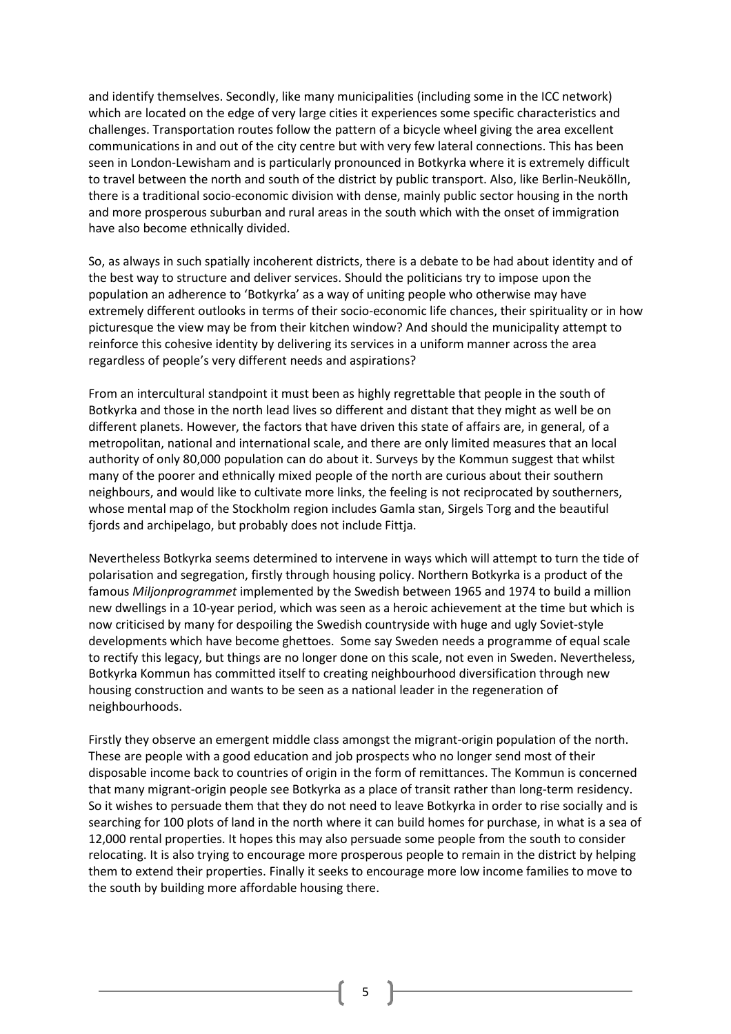and identify themselves. Secondly, like many municipalities (including some in the ICC network) which are located on the edge of very large cities it experiences some specific characteristics and challenges. Transportation routes follow the pattern of a bicycle wheel giving the area excellent communications in and out of the city centre but with very few lateral connections. This has been seen in London-Lewisham and is particularly pronounced in Botkyrka where it is extremely difficult to travel between the north and south of the district by public transport. Also, like Berlin-Neukölln, there is a traditional socio-economic division with dense, mainly public sector housing in the north and more prosperous suburban and rural areas in the south which with the onset of immigration have also become ethnically divided.

So, as always in such spatially incoherent districts, there is a debate to be had about identity and of the best way to structure and deliver services. Should the politicians try to impose upon the population an adherence to 'Botkyrka' as a way of uniting people who otherwise may have extremely different outlooks in terms of their socio-economic life chances, their spirituality or in how picturesque the view may be from their kitchen window? And should the municipality attempt to reinforce this cohesive identity by delivering its services in a uniform manner across the area regardless of people's very different needs and aspirations?

From an intercultural standpoint it must been as highly regrettable that people in the south of Botkyrka and those in the north lead lives so different and distant that they might as well be on different planets. However, the factors that have driven this state of affairs are, in general, of a metropolitan, national and international scale, and there are only limited measures that an local authority of only 80,000 population can do about it. Surveys by the Kommun suggest that whilst many of the poorer and ethnically mixed people of the north are curious about their southern neighbours, and would like to cultivate more links, the feeling is not reciprocated by southerners, whose mental map of the Stockholm region includes Gamla stan, Sirgels Torg and the beautiful fjords and archipelago, but probably does not include Fittja.

Nevertheless Botkyrka seems determined to intervene in ways which will attempt to turn the tide of polarisation and segregation, firstly through housing policy. Northern Botkyrka is a product of the famous Miljonprogrammet implemented by the Swedish between 1965 and 1974 to build a million new dwellings in a 10-year period, which was seen as a heroic achievement at the time but which is now criticised by many for despoiling the Swedish countryside with huge and ugly Soviet-style developments which have become ghettoes. Some say Sweden needs a programme of equal scale to rectify this legacy, but things are no longer done on this scale, not even in Sweden. Nevertheless, Botkyrka Kommun has committed itself to creating neighbourhood diversification through new housing construction and wants to be seen as a national leader in the regeneration of neighbourhoods.

Firstly they observe an emergent middle class amongst the migrant-origin population of the north. These are people with a good education and job prospects who no longer send most of their disposable income back to countries of origin in the form of remittances. The Kommun is concerned that many migrant-origin people see Botkyrka as a place of transit rather than long-term residency. So it wishes to persuade them that they do not need to leave Botkyrka in order to rise socially and is searching for 100 plots of land in the north where it can build homes for purchase, in what is a sea of 12,000 rental properties. It hopes this may also persuade some people from the south to consider relocating. It is also trying to encourage more prosperous people to remain in the district by helping them to extend their properties. Finally it seeks to encourage more low income families to move to the south by building more affordable housing there.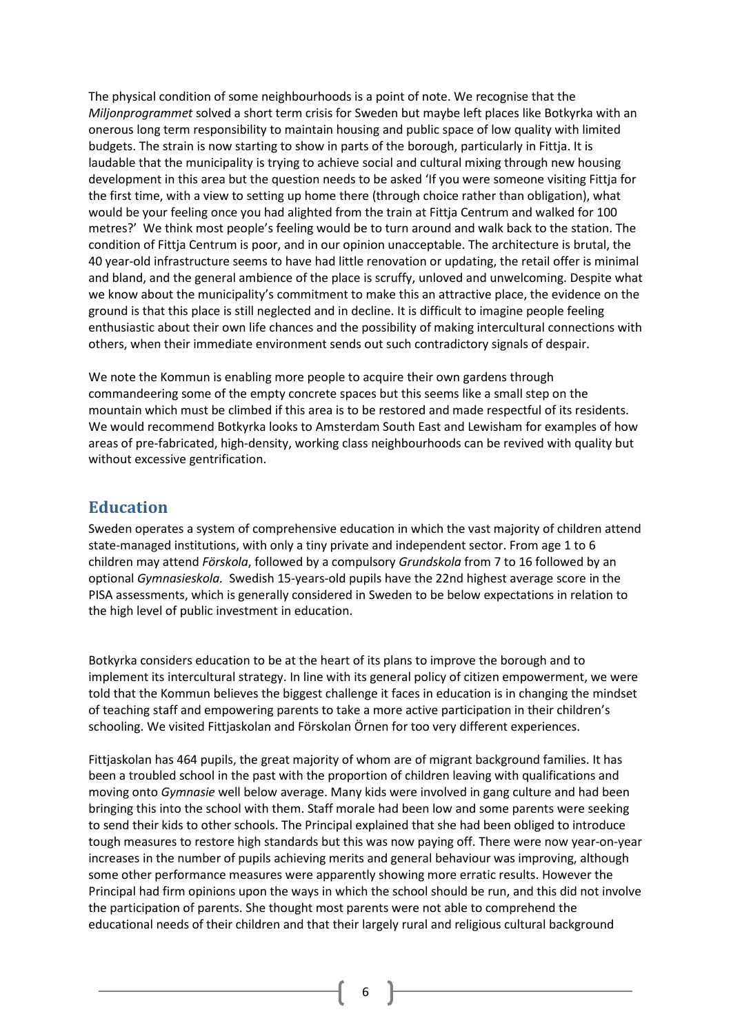The physical condition of some neighbourhoods is a point of note. We recognise that the Miljonprogrammet solved a short term crisis for Sweden but maybe left places like Botkyrka with an onerous long term responsibility to maintain housing and public space of low quality with limited budgets. The strain is now starting to show in parts of the borough, particularly in Fittja. It is laudable that the municipality is trying to achieve social and cultural mixing through new housing development in this area but the question needs to be asked 'If you were someone visiting Fittja for the first time, with a view to setting up home there (through choice rather than obligation), what would be your feeling once you had alighted from the train at Fittja Centrum and walked for 100 metres?' We think most people's feeling would be to turn around and walk back to the station. The condition of Fittja Centrum is poor, and in our opinion unacceptable. The architecture is brutal, the 40 year-old infrastructure seems to have had little renovation or updating, the retail offer is minimal and bland, and the general ambience of the place is scruffy, unloved and unwelcoming. Despite what we know about the municipality's commitment to make this an attractive place, the evidence on the ground is that this place is still neglected and in decline. It is difficult to imagine people feeling enthusiastic about their own life chances and the possibility of making intercultural connections with others, when their immediate environment sends out such contradictory signals of despair.

We note the Kommun is enabling more people to acquire their own gardens through commandeering some of the empty concrete spaces but this seems like a small step on the mountain which must be climbed if this area is to be restored and made respectful of its residents. We would recommend Botkyrka looks to Amsterdam South East and Lewisham for examples of how areas of pre-fabricated, high-density, working class neighbourhoods can be revived with quality but without excessive gentrification.

#### Education

Sweden operates a system of comprehensive education in which the vast majority of children attend state-managed institutions, with only a tiny private and independent sector. From age 1 to 6 children may attend Förskola, followed by a compulsory Grundskola from 7 to 16 followed by an optional Gymnasieskola. Swedish 15-years-old pupils have the 22nd highest average score in the PISA assessments, which is generally considered in Sweden to be below expectations in relation to the high level of public investment in education.

Botkyrka considers education to be at the heart of its plans to improve the borough and to implement its intercultural strategy. In line with its general policy of citizen empowerment, we were told that the Kommun believes the biggest challenge it faces in education is in changing the mindset of teaching staff and empowering parents to take a more active participation in their children's schooling. We visited Fittjaskolan and Förskolan Örnen for too very different experiences.

Fittjaskolan has 464 pupils, the great majority of whom are of migrant background families. It has been a troubled school in the past with the proportion of children leaving with qualifications and moving onto Gymnasie well below average. Many kids were involved in gang culture and had been bringing this into the school with them. Staff morale had been low and some parents were seeking to send their kids to other schools. The Principal explained that she had been obliged to introduce tough measures to restore high standards but this was now paying off. There were now year-on-year increases in the number of pupils achieving merits and general behaviour was improving, although some other performance measures were apparently showing more erratic results. However the Principal had firm opinions upon the ways in which the school should be run, and this did not involve the participation of parents. She thought most parents were not able to comprehend the educational needs of their children and that their largely rural and religious cultural background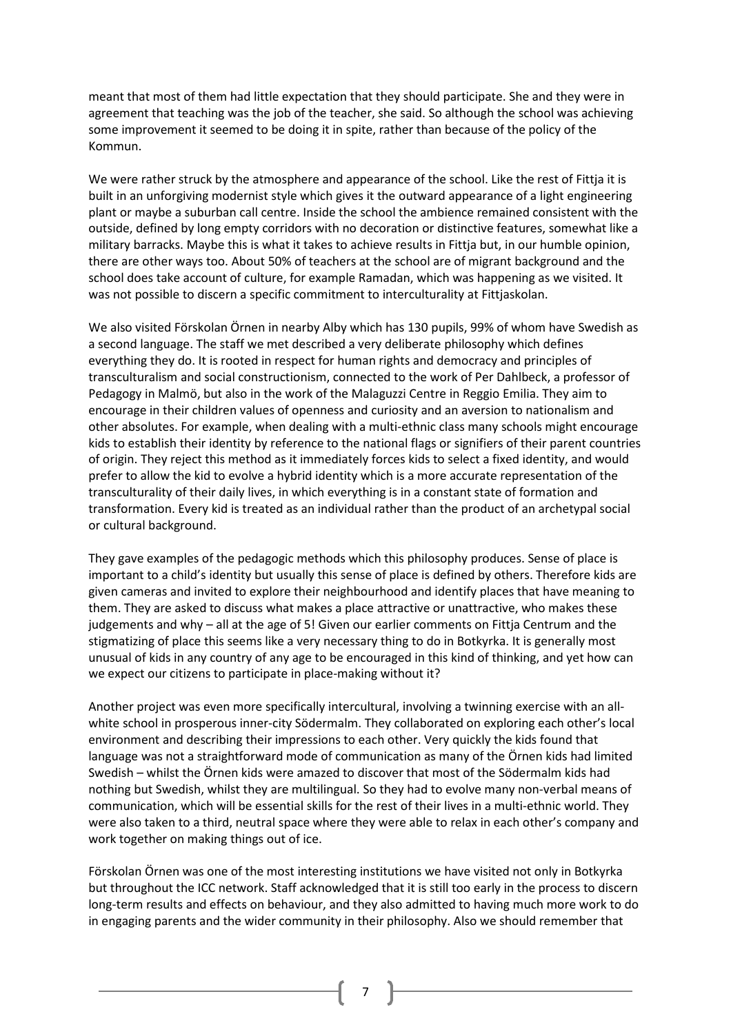meant that most of them had little expectation that they should participate. She and they were in agreement that teaching was the job of the teacher, she said. So although the school was achieving some improvement it seemed to be doing it in spite, rather than because of the policy of the Kommun.

We were rather struck by the atmosphere and appearance of the school. Like the rest of Fittja it is built in an unforgiving modernist style which gives it the outward appearance of a light engineering plant or maybe a suburban call centre. Inside the school the ambience remained consistent with the outside, defined by long empty corridors with no decoration or distinctive features, somewhat like a military barracks. Maybe this is what it takes to achieve results in Fittja but, in our humble opinion, there are other ways too. About 50% of teachers at the school are of migrant background and the school does take account of culture, for example Ramadan, which was happening as we visited. It was not possible to discern a specific commitment to interculturality at Fittjaskolan.

We also visited Förskolan Örnen in nearby Alby which has 130 pupils, 99% of whom have Swedish as a second language. The staff we met described a very deliberate philosophy which defines everything they do. It is rooted in respect for human rights and democracy and principles of transculturalism and social constructionism, connected to the work of Per Dahlbeck, a professor of Pedagogy in Malmö, but also in the work of the Malaguzzi Centre in Reggio Emilia. They aim to encourage in their children values of openness and curiosity and an aversion to nationalism and other absolutes. For example, when dealing with a multi-ethnic class many schools might encourage kids to establish their identity by reference to the national flags or signifiers of their parent countries of origin. They reject this method as it immediately forces kids to select a fixed identity, and would prefer to allow the kid to evolve a hybrid identity which is a more accurate representation of the transculturality of their daily lives, in which everything is in a constant state of formation and transformation. Every kid is treated as an individual rather than the product of an archetypal social or cultural background.

They gave examples of the pedagogic methods which this philosophy produces. Sense of place is important to a child's identity but usually this sense of place is defined by others. Therefore kids are given cameras and invited to explore their neighbourhood and identify places that have meaning to them. They are asked to discuss what makes a place attractive or unattractive, who makes these judgements and why – all at the age of 5! Given our earlier comments on Fittja Centrum and the stigmatizing of place this seems like a very necessary thing to do in Botkyrka. It is generally most unusual of kids in any country of any age to be encouraged in this kind of thinking, and yet how can we expect our citizens to participate in place-making without it?

Another project was even more specifically intercultural, involving a twinning exercise with an allwhite school in prosperous inner-city Södermalm. They collaborated on exploring each other's local environment and describing their impressions to each other. Very quickly the kids found that language was not a straightforward mode of communication as many of the Örnen kids had limited Swedish – whilst the Örnen kids were amazed to discover that most of the Södermalm kids had nothing but Swedish, whilst they are multilingual. So they had to evolve many non-verbal means of communication, which will be essential skills for the rest of their lives in a multi-ethnic world. They were also taken to a third, neutral space where they were able to relax in each other's company and work together on making things out of ice.

Förskolan Örnen was one of the most interesting institutions we have visited not only in Botkyrka but throughout the ICC network. Staff acknowledged that it is still too early in the process to discern long-term results and effects on behaviour, and they also admitted to having much more work to do in engaging parents and the wider community in their philosophy. Also we should remember that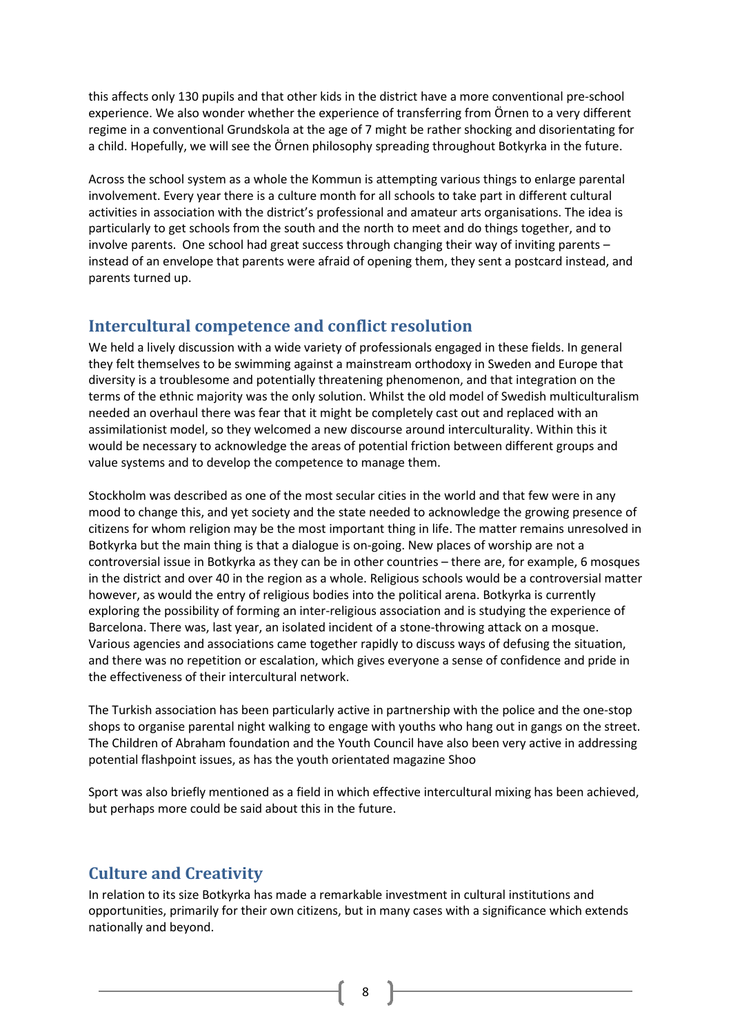this affects only 130 pupils and that other kids in the district have a more conventional pre-school experience. We also wonder whether the experience of transferring from Örnen to a very different regime in a conventional Grundskola at the age of 7 might be rather shocking and disorientating for a child. Hopefully, we will see the Örnen philosophy spreading throughout Botkyrka in the future.

Across the school system as a whole the Kommun is attempting various things to enlarge parental involvement. Every year there is a culture month for all schools to take part in different cultural activities in association with the district's professional and amateur arts organisations. The idea is particularly to get schools from the south and the north to meet and do things together, and to involve parents. One school had great success through changing their way of inviting parents – instead of an envelope that parents were afraid of opening them, they sent a postcard instead, and parents turned up.

#### Intercultural competence and conflict resolution

We held a lively discussion with a wide variety of professionals engaged in these fields. In general they felt themselves to be swimming against a mainstream orthodoxy in Sweden and Europe that diversity is a troublesome and potentially threatening phenomenon, and that integration on the terms of the ethnic majority was the only solution. Whilst the old model of Swedish multiculturalism needed an overhaul there was fear that it might be completely cast out and replaced with an assimilationist model, so they welcomed a new discourse around interculturality. Within this it would be necessary to acknowledge the areas of potential friction between different groups and value systems and to develop the competence to manage them.

Stockholm was described as one of the most secular cities in the world and that few were in any mood to change this, and yet society and the state needed to acknowledge the growing presence of citizens for whom religion may be the most important thing in life. The matter remains unresolved in Botkyrka but the main thing is that a dialogue is on-going. New places of worship are not a controversial issue in Botkyrka as they can be in other countries – there are, for example, 6 mosques in the district and over 40 in the region as a whole. Religious schools would be a controversial matter however, as would the entry of religious bodies into the political arena. Botkyrka is currently exploring the possibility of forming an inter-religious association and is studying the experience of Barcelona. There was, last year, an isolated incident of a stone-throwing attack on a mosque. Various agencies and associations came together rapidly to discuss ways of defusing the situation, and there was no repetition or escalation, which gives everyone a sense of confidence and pride in the effectiveness of their intercultural network.

The Turkish association has been particularly active in partnership with the police and the one-stop shops to organise parental night walking to engage with youths who hang out in gangs on the street. The Children of Abraham foundation and the Youth Council have also been very active in addressing potential flashpoint issues, as has the youth orientated magazine Shoo

Sport was also briefly mentioned as a field in which effective intercultural mixing has been achieved, but perhaps more could be said about this in the future.

## Culture and Creativity

In relation to its size Botkyrka has made a remarkable investment in cultural institutions and opportunities, primarily for their own citizens, but in many cases with a significance which extends nationally and beyond.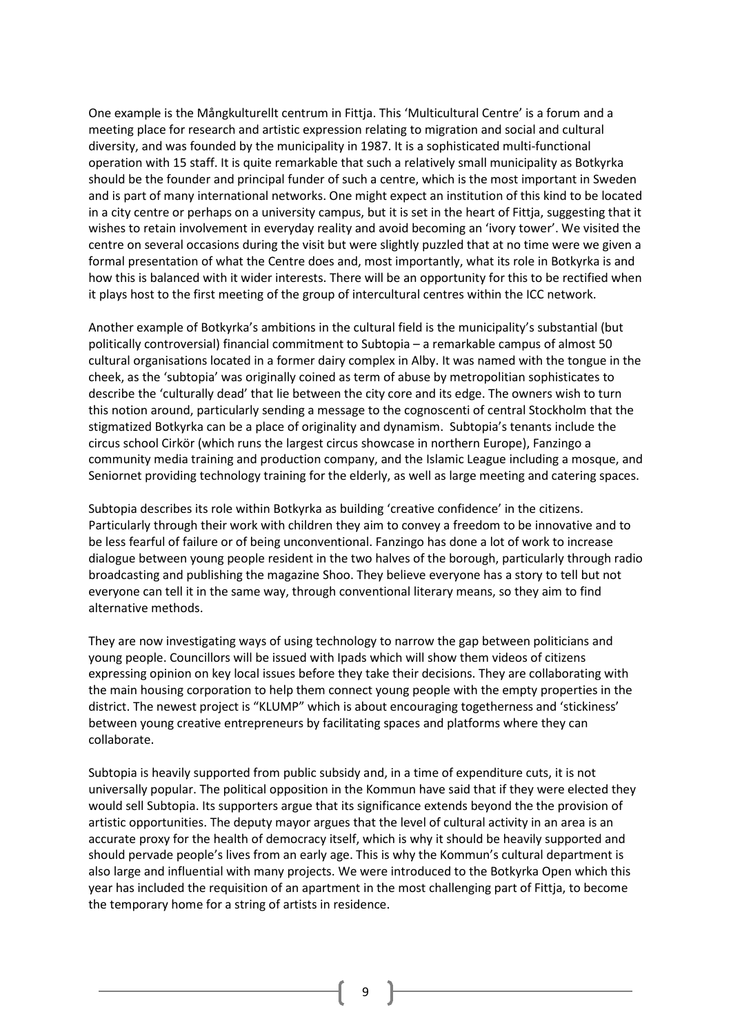One example is the Mångkulturellt centrum in Fittja. This 'Multicultural Centre' is a forum and a meeting place for research and artistic expression relating to migration and social and cultural diversity, and was founded by the municipality in 1987. It is a sophisticated multi-functional operation with 15 staff. It is quite remarkable that such a relatively small municipality as Botkyrka should be the founder and principal funder of such a centre, which is the most important in Sweden and is part of many international networks. One might expect an institution of this kind to be located in a city centre or perhaps on a university campus, but it is set in the heart of Fittja, suggesting that it wishes to retain involvement in everyday reality and avoid becoming an 'ivory tower'. We visited the centre on several occasions during the visit but were slightly puzzled that at no time were we given a formal presentation of what the Centre does and, most importantly, what its role in Botkyrka is and how this is balanced with it wider interests. There will be an opportunity for this to be rectified when it plays host to the first meeting of the group of intercultural centres within the ICC network.

Another example of Botkyrka's ambitions in the cultural field is the municipality's substantial (but politically controversial) financial commitment to Subtopia – a remarkable campus of almost 50 cultural organisations located in a former dairy complex in Alby. It was named with the tongue in the cheek, as the 'subtopia' was originally coined as term of abuse by metropolitian sophisticates to describe the 'culturally dead' that lie between the city core and its edge. The owners wish to turn this notion around, particularly sending a message to the cognoscenti of central Stockholm that the stigmatized Botkyrka can be a place of originality and dynamism. Subtopia's tenants include the circus school Cirkör (which runs the largest circus showcase in northern Europe), Fanzingo a community media training and production company, and the Islamic League including a mosque, and Seniornet providing technology training for the elderly, as well as large meeting and catering spaces.

Subtopia describes its role within Botkyrka as building 'creative confidence' in the citizens. Particularly through their work with children they aim to convey a freedom to be innovative and to be less fearful of failure or of being unconventional. Fanzingo has done a lot of work to increase dialogue between young people resident in the two halves of the borough, particularly through radio broadcasting and publishing the magazine Shoo. They believe everyone has a story to tell but not everyone can tell it in the same way, through conventional literary means, so they aim to find alternative methods.

They are now investigating ways of using technology to narrow the gap between politicians and young people. Councillors will be issued with Ipads which will show them videos of citizens expressing opinion on key local issues before they take their decisions. They are collaborating with the main housing corporation to help them connect young people with the empty properties in the district. The newest project is "KLUMP" which is about encouraging togetherness and 'stickiness' between young creative entrepreneurs by facilitating spaces and platforms where they can collaborate.

Subtopia is heavily supported from public subsidy and, in a time of expenditure cuts, it is not universally popular. The political opposition in the Kommun have said that if they were elected they would sell Subtopia. Its supporters argue that its significance extends beyond the the provision of artistic opportunities. The deputy mayor argues that the level of cultural activity in an area is an accurate proxy for the health of democracy itself, which is why it should be heavily supported and should pervade people's lives from an early age. This is why the Kommun's cultural department is also large and influential with many projects. We were introduced to the Botkyrka Open which this year has included the requisition of an apartment in the most challenging part of Fittja, to become the temporary home for a string of artists in residence.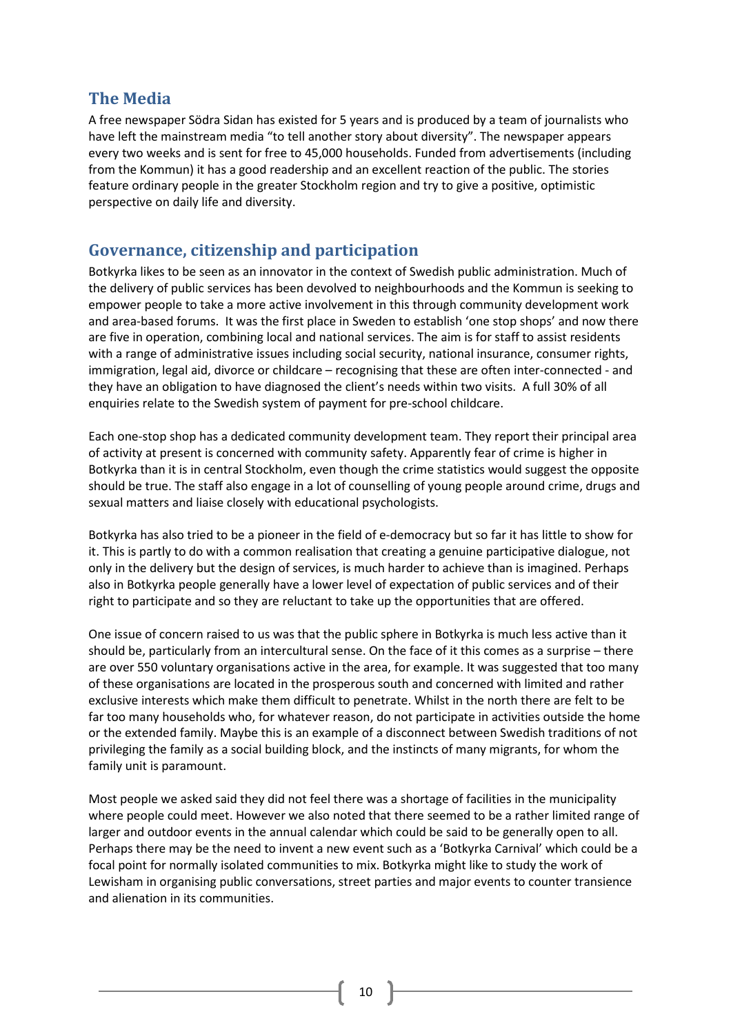# The Media

A free newspaper Södra Sidan has existed for 5 years and is produced by a team of journalists who have left the mainstream media "to tell another story about diversity". The newspaper appears every two weeks and is sent for free to 45,000 households. Funded from advertisements (including from the Kommun) it has a good readership and an excellent reaction of the public. The stories feature ordinary people in the greater Stockholm region and try to give a positive, optimistic perspective on daily life and diversity.

# Governance, citizenship and participation

Botkyrka likes to be seen as an innovator in the context of Swedish public administration. Much of the delivery of public services has been devolved to neighbourhoods and the Kommun is seeking to empower people to take a more active involvement in this through community development work and area-based forums. It was the first place in Sweden to establish 'one stop shops' and now there are five in operation, combining local and national services. The aim is for staff to assist residents with a range of administrative issues including social security, national insurance, consumer rights, immigration, legal aid, divorce or childcare – recognising that these are often inter-connected - and they have an obligation to have diagnosed the client's needs within two visits. A full 30% of all enquiries relate to the Swedish system of payment for pre-school childcare.

Each one-stop shop has a dedicated community development team. They report their principal area of activity at present is concerned with community safety. Apparently fear of crime is higher in Botkyrka than it is in central Stockholm, even though the crime statistics would suggest the opposite should be true. The staff also engage in a lot of counselling of young people around crime, drugs and sexual matters and liaise closely with educational psychologists.

Botkyrka has also tried to be a pioneer in the field of e-democracy but so far it has little to show for it. This is partly to do with a common realisation that creating a genuine participative dialogue, not only in the delivery but the design of services, is much harder to achieve than is imagined. Perhaps also in Botkyrka people generally have a lower level of expectation of public services and of their right to participate and so they are reluctant to take up the opportunities that are offered.

One issue of concern raised to us was that the public sphere in Botkyrka is much less active than it should be, particularly from an intercultural sense. On the face of it this comes as a surprise – there are over 550 voluntary organisations active in the area, for example. It was suggested that too many of these organisations are located in the prosperous south and concerned with limited and rather exclusive interests which make them difficult to penetrate. Whilst in the north there are felt to be far too many households who, for whatever reason, do not participate in activities outside the home or the extended family. Maybe this is an example of a disconnect between Swedish traditions of not privileging the family as a social building block, and the instincts of many migrants, for whom the family unit is paramount.

Most people we asked said they did not feel there was a shortage of facilities in the municipality where people could meet. However we also noted that there seemed to be a rather limited range of larger and outdoor events in the annual calendar which could be said to be generally open to all. Perhaps there may be the need to invent a new event such as a 'Botkyrka Carnival' which could be a focal point for normally isolated communities to mix. Botkyrka might like to study the work of Lewisham in organising public conversations, street parties and major events to counter transience and alienation in its communities.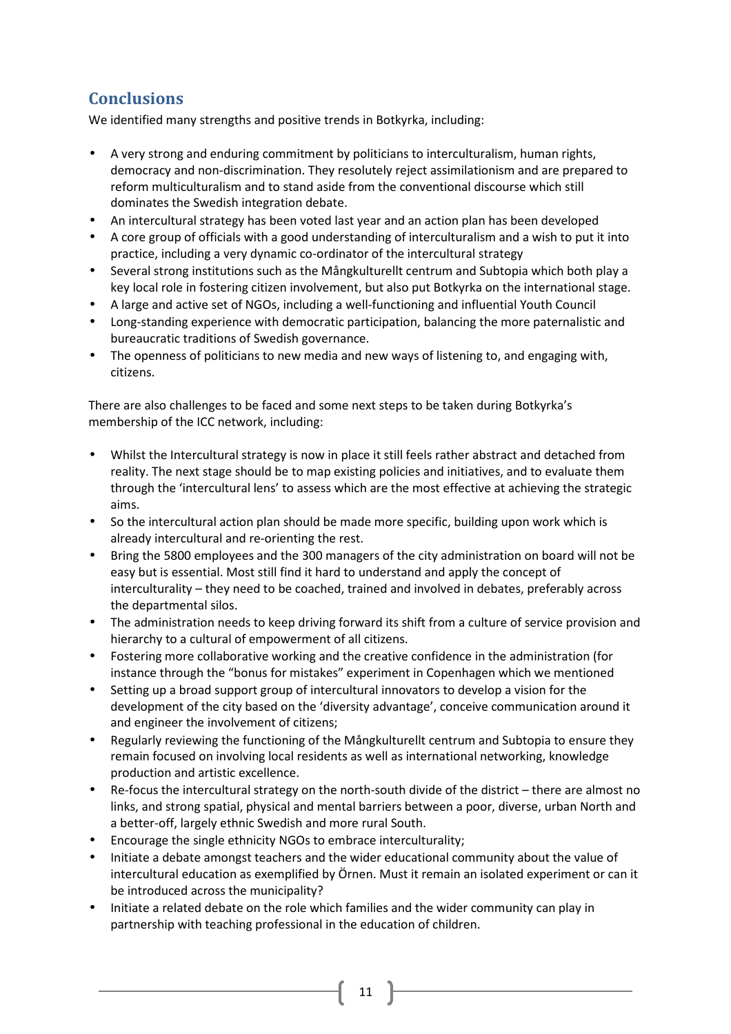# **Conclusions**

We identified many strengths and positive trends in Botkyrka, including:

- A very strong and enduring commitment by politicians to interculturalism, human rights, democracy and non-discrimination. They resolutely reject assimilationism and are prepared to reform multiculturalism and to stand aside from the conventional discourse which still dominates the Swedish integration debate.
- An intercultural strategy has been voted last year and an action plan has been developed
- A core group of officials with a good understanding of interculturalism and a wish to put it into practice, including a very dynamic co-ordinator of the intercultural strategy
- Several strong institutions such as the Mångkulturellt centrum and Subtopia which both play a key local role in fostering citizen involvement, but also put Botkyrka on the international stage.
- A large and active set of NGOs, including a well-functioning and influential Youth Council
- Long-standing experience with democratic participation, balancing the more paternalistic and bureaucratic traditions of Swedish governance.
- The openness of politicians to new media and new ways of listening to, and engaging with, citizens.

There are also challenges to be faced and some next steps to be taken during Botkyrka's membership of the ICC network, including:

- Whilst the Intercultural strategy is now in place it still feels rather abstract and detached from reality. The next stage should be to map existing policies and initiatives, and to evaluate them through the 'intercultural lens' to assess which are the most effective at achieving the strategic aims.
- So the intercultural action plan should be made more specific, building upon work which is already intercultural and re-orienting the rest.
- Bring the 5800 employees and the 300 managers of the city administration on board will not be easy but is essential. Most still find it hard to understand and apply the concept of interculturality – they need to be coached, trained and involved in debates, preferably across the departmental silos.
- The administration needs to keep driving forward its shift from a culture of service provision and hierarchy to a cultural of empowerment of all citizens.
- Fostering more collaborative working and the creative confidence in the administration (for instance through the "bonus for mistakes" experiment in Copenhagen which we mentioned
- Setting up a broad support group of intercultural innovators to develop a vision for the development of the city based on the 'diversity advantage', conceive communication around it and engineer the involvement of citizens;
- Regularly reviewing the functioning of the Mångkulturellt centrum and Subtopia to ensure they remain focused on involving local residents as well as international networking, knowledge production and artistic excellence.
- Re-focus the intercultural strategy on the north-south divide of the district there are almost no links, and strong spatial, physical and mental barriers between a poor, diverse, urban North and a better-off, largely ethnic Swedish and more rural South.
- Encourage the single ethnicity NGOs to embrace interculturality;
- Initiate a debate amongst teachers and the wider educational community about the value of intercultural education as exemplified by Örnen. Must it remain an isolated experiment or can it be introduced across the municipality?
- Initiate a related debate on the role which families and the wider community can play in partnership with teaching professional in the education of children.